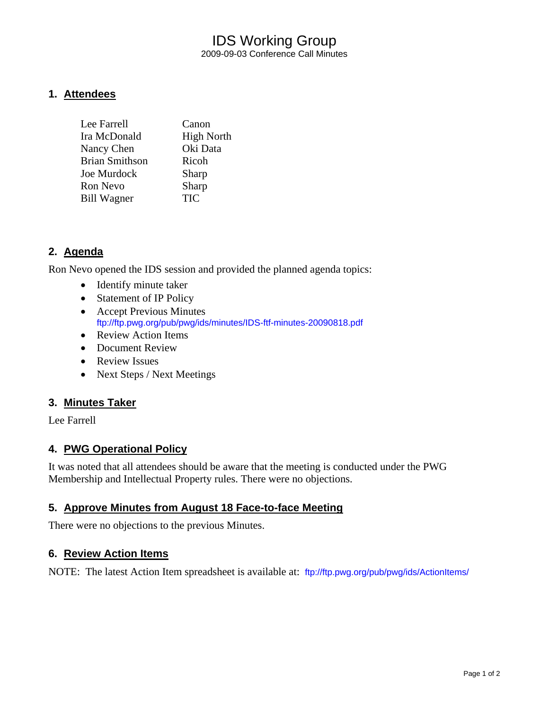## IDS Working Group 2009-09-03 Conference Call Minutes

### **1. Attendees**

| Canon             |
|-------------------|
| <b>High North</b> |
| Oki Data          |
| Ricoh             |
| Sharp             |
| Sharp             |
| <b>TIC</b>        |
|                   |

## **2. Agenda**

Ron Nevo opened the IDS session and provided the planned agenda topics:

- Identify minute taker
- Statement of IP Policy
- Accept Previous Minutes <ftp://ftp.pwg.org/pub/pwg/ids/minutes/IDS-ftf-minutes-20090818.pdf>
- Review Action Items
- Document Review
- Review Issues
- Next Steps / Next Meetings

#### **3. Minutes Taker**

Lee Farrell

#### **4. PWG Operational Policy**

It was noted that all attendees should be aware that the meeting is conducted under the PWG Membership and Intellectual Property rules. There were no objections.

#### **5. Approve Minutes from August 18 Face-to-face Meeting**

There were no objections to the previous Minutes.

#### **6. Review Action Items**

NOTE: The latest Action Item spreadsheet is available at: <ftp://ftp.pwg.org/pub/pwg/ids/ActionItems/>